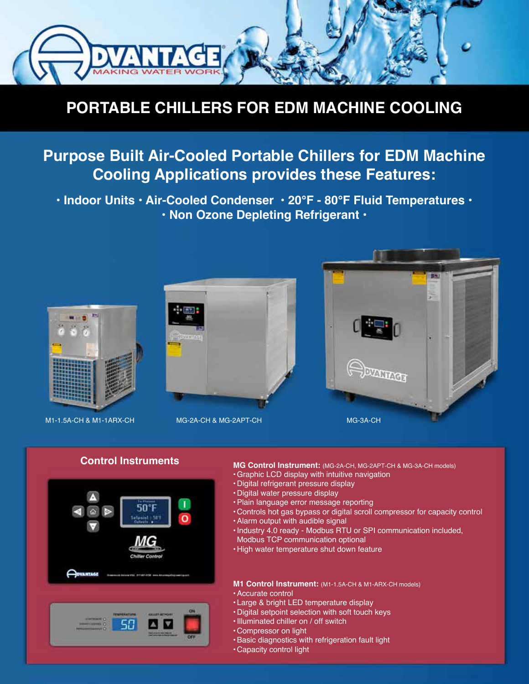

# **PORTABLE CHILLERS FOR EDM MACHINE COOLING**

# **Purpose Built Air-Cooled Portable Chillers for EDM Machine Cooling Applications provides these Features:**

**• Indoor Units • Air-Cooled Condenser • 20°F - 80°F Fluid Temperatures • • Non Ozone Depleting Refrigerant •** 





#### **MG Control Instrument:** (MG-2A-CH, MG-2APT-CH & MG-3A-CH models)

- •Graphic LCD display with intuitive navigation
- Digital refrigerant pressure display
- Digital water pressure display
- •Plain language error message reporting
- Controls hot gas bypass or digital scroll compressor for capacity control
- •Alarm output with audible signal
- •Industry 4.0 ready Modbus RTU or SPI communication included, Modbus TCP communication optional
- High water temperature shut down feature

### **M1 Control Instrument:** (M1-1.5A-CH & M1-ARX-CH models)

- •Accurate control
- Large & bright LED temperature display
- Digital setpoint selection with soft touch keys
- •Illuminated chiller on / off switch
- Compressor on light
- •Basic diagnostics with refrigeration fault light
- Capacity control light